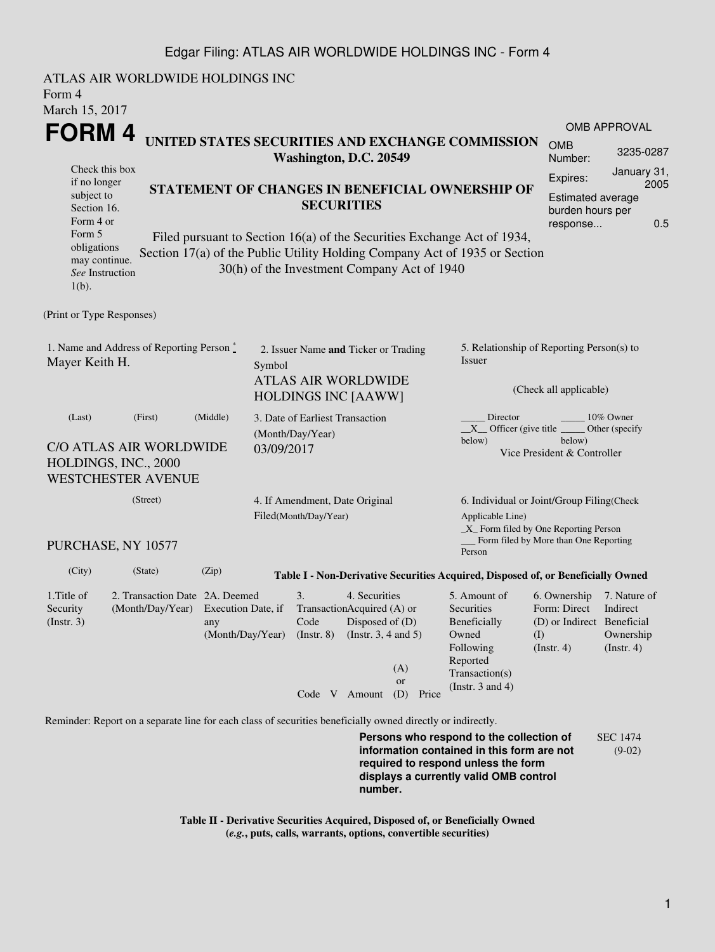## Edgar Filing: ATLAS AIR WORLDWIDE HOLDINGS INC - Form 4

ATLAS AIR WORLDWIDE HOLDINGS INC Form 4 March 15, 2017 **FORM 4** Check this box if no longer subject to Section 16. Form 4 or Form 5 obligations may continue. *See* Instruction 1(b). **UNITED STATES SECURITIES AND EXCHANGE COMMISSION Washington, D.C. 20549 STATEMENT OF CHANGES IN BENEFICIAL OWNERSHIP OF SECURITIES** Filed pursuant to Section 16(a) of the Securities Exchange Act of 1934, Section 17(a) of the Public Utility Holding Company Act of 1935 or Section 30(h) of the Investment Company Act of 1940 OMB APPROVAL OMB Number: 3235-0287 Expires: January 31, 2005 Estimated average burden hours per response... 0.5 (Print or Type Responses) 1. Name and Address of Reporting Person  $\degree$ Mayer Keith H. 2. Issuer Name **and** Ticker or Trading Symbol ATLAS AIR WORLDWIDE HOLDINGS INC [AAWW] 5. Relationship of Reporting Person(s) to Issuer (Check all applicable) Director \_\_\_\_\_\_\_\_ 10% Owner  $X$ <sup>Officer</sup> (give title below) Other (specify below) Vice President & Controller (Last) (First) (Middle) C/O ATLAS AIR WORLDWIDE HOLDINGS, INC., 2000 WESTCHESTER AVENUE 3. Date of Earliest Transaction (Month/Day/Year) 03/09/2017 (Street) PURCHASE, NY 10577 4. If Amendment, Date Original Filed(Month/Day/Year) 6. Individual or Joint/Group Filing(Check Applicable Line) \_X\_ Form filed by One Reporting Person Form filed by More than One Reporting Person (City) (State) (Zip) **Table I - Non-Derivative Securities Acquired, Disposed of, or Beneficially Owned** 1.Title of Security (Instr. 3) 2. Transaction Date 2A. Deemed (Month/Day/Year) Execution Date, if any (Month/Day/Year) 3. Transaction Acquired (A) or Code (Instr. 8) 4. Securities Disposed of (D) (Instr. 3, 4 and 5) 5. Amount of Securities Beneficially Owned Following Reported Transaction(s) (Instr. 3 and 4) 6. Ownership 7. Nature of Form: Direct (D) or Indirect Beneficial (I)  $(Insert. 4)$ Indirect Ownership  $(Insert. 4)$ Code V Amount (D) Price (A) or Reminder: Report on a separate line for each class of securities beneficially owned directly or indirectly.

**Persons who respond to the collection of information contained in this form are not required to respond unless the form displays a currently valid OMB control number.** SEC 1474 (9-02)

**Table II - Derivative Securities Acquired, Disposed of, or Beneficially Owned (***e.g.***, puts, calls, warrants, options, convertible securities)**